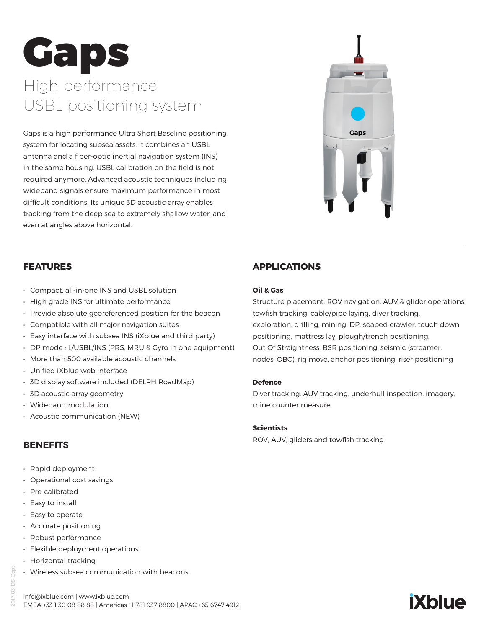# Gaps High performance USBL positioning system

Gaps is a high performance Ultra Short Baseline positioning system for locating subsea assets. It combines an USBL antenna and a fiber-optic inertial navigation system (INS) in the same housing. USBL calibration on the field is not required anymore. Advanced acoustic techniques including wideband signals ensure maximum performance in most difficult conditions. Its unique 3D acoustic array enables tracking from the deep sea to extremely shallow water, and even at angles above horizontal.



## **FEATURES**

- Compact, all-in-one INS and USBL solution
- High grade INS for ultimate performance
- Provide absolute georeferenced position for the beacon
- Compatible with all major navigation suites
- Easy interface with subsea INS (iXblue and third party)
- DP mode : L/USBL/INS (PRS, MRU & Gyro in one equipment)
- More than 500 available acoustic channels
- Unified iXblue web interface
- 3D display software included (DELPH RoadMap)
- 3D acoustic array geometry
- Wideband modulation
- Acoustic communication (NEW)

#### **BENEFITS**

- Rapid deployment
- Operational cost savings
- Pre-calibrated
- Easy to install
- Easy to operate
- Accurate positioning
- Robust performance
- Flexible deployment operations
- Horizontal tracking
- Wireless subsea communication with beacons

# **APPLICATIONS**

#### **Oil & Gas**

Structure placement, ROV navigation, AUV & glider operations, towfish tracking, cable/pipe laying, diver tracking, exploration, drilling, mining, DP, seabed crawler, touch down positioning, mattress lay, plough/trench positioning, Out Of Straightness, BSR positioning, seismic (streamer, nodes, OBC), rig move, anchor positioning, riser positioning

#### **Defence**

Diver tracking, AUV tracking, underhull inspection, imagery, mine counter measure

#### **Scientists**

ROV, AUV, gliders and towfish tracking



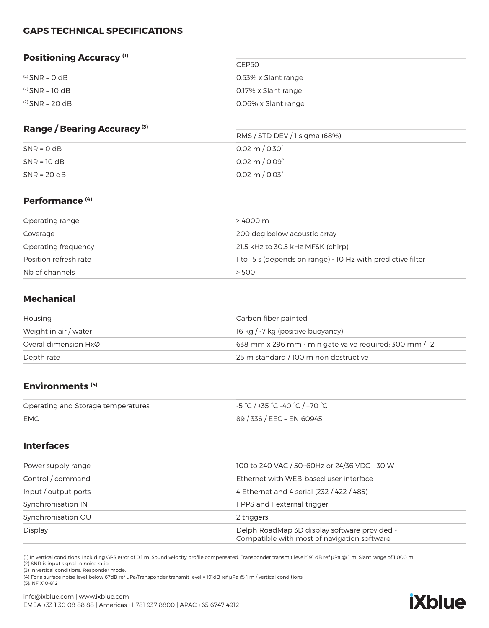## **GAPS TECHNICAL SPECIFICATIONS**

# **Positioning Accuracy (1)**

|                      | CEP50               |
|----------------------|---------------------|
| $^{(2)}$ SNR = 0 dB  | 0.53% x Slant range |
| $^{(2)}$ SNR = 10 dB | 0.17% x Slant range |
| $^{(2)}$ SNR = 20 dB | 0.06% x Slant range |

 $2 - 2 - 2$ 

## **Range / Bearing Accuracy (3)**

| <b>Range / Dearing Accuracy</b> | RMS / STD DEV / 1 sigma (68%)   |  |
|---------------------------------|---------------------------------|--|
| $SNR = 0 dB$                    | $0.02 \text{ m} / 0.30^{\circ}$ |  |
| $SNR = 10 dB$                   | $0.02 \text{ m} / 0.09^{\circ}$ |  |
| $SNR = 20 dB$                   | $0.02 \text{ m} / 0.03^{\circ}$ |  |

#### **Performance (4)**

| Operating range       | > 4000 m                                                    |
|-----------------------|-------------------------------------------------------------|
| Coverage              | 200 deg below acoustic array                                |
| Operating frequency   | 21.5 kHz to 30.5 kHz MFSK (chirp)                           |
| Position refresh rate | 1 to 15 s (depends on range) - 10 Hz with predictive filter |
| Nb of channels        | > 500                                                       |

# **Mechanical**

| Housing                   | Carbon fiber painted                                    |
|---------------------------|---------------------------------------------------------|
| Weight in air / water     | 16 kg / -7 kg (positive buoyancy)                       |
| Overal dimension $Hx\phi$ | 638 mm x 296 mm - min gate valve required: 300 mm / 12' |
| Depth rate                | 25 m standard / 100 m non destructive                   |

#### **Environments (5)**

| Operating and Storage temperatures | -5 °C / +35 °C -40 °C / +70 °C |
|------------------------------------|--------------------------------|
| <b>EMC</b>                         | 89 / 336 / EEC – EN 60945      |

#### **Interfaces**

| 100 to 240 VAC / 50~60Hz or 24/36 VDC - 30 W                                                |
|---------------------------------------------------------------------------------------------|
| Ethernet with WEB-based user interface                                                      |
| 4 Ethernet and 4 serial (232 / 422 / 485)                                                   |
| 1 PPS and 1 external trigger                                                                |
| 2 triggers                                                                                  |
| Delph RoadMap 3D display software provided -<br>Compatible with most of navigation software |
|                                                                                             |

(1) In vertical conditions. Including GPS error of 0.1 m. Sound velocity profile compensated. Transponder transmit level=191 dB ref μPa @ 1 m. Slant range of 1 000 m.

(2) SNR is input signal to noise ratio

(3) In vertical conditions. Responder mode.

(4) For a surface noise level below 67dB ref μPa/Transponder transmit level = 191dB ref μPa @ 1 m / vertical conditions. (5): NF X10-812

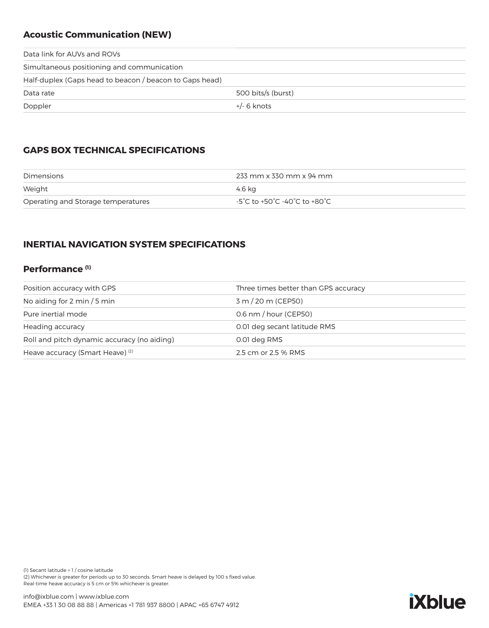# **Acoustic Communication (NEW)**

| Data link for AUVs and ROVs                             |                    |  |
|---------------------------------------------------------|--------------------|--|
| Simultaneous positioning and communication              |                    |  |
| Half-duplex (Gaps head to beacon / beacon to Gaps head) |                    |  |
| Data rate                                               | 500 bits/s (burst) |  |
| Doppler                                                 | $+/-$ 6 knots      |  |
|                                                         |                    |  |

# **GAPS BOX TECHNICAL SPECIFICATIONS**

| Dimensions                         | 233 mm x 330 mm x 94 mm      |
|------------------------------------|------------------------------|
| Weight                             | 4.6 ka                       |
| Operating and Storage temperatures | -5°C to +50°C -40°C to +80°C |

# **INERTIAL NAVIGATION SYSTEM SPECIFICATIONS**

## **Performance (1)**

| Position accuracy with GPS                  | Three times better than GPS accuracy |
|---------------------------------------------|--------------------------------------|
| No aiding for 2 min $/5$ min                | 3 m / 20 m (CEP50)                   |
| Pure inertial mode                          | $0.6$ nm $/$ hour (CEP50)            |
| Heading accuracy                            | 0.01 deg secant latitude RMS         |
| Roll and pitch dynamic accuracy (no aiding) | 0.01 deg RMS                         |
| Heave accuracy (Smart Heave) <sup>(2)</sup> | 2.5 cm or 2.5 % RMS                  |

(1) Secant latitude = 1 / cosine latitude (2) Whichever is greater for periods up to 30 seconds. Smart heave is delayed by 100 s fixed value. Real-time heave accuracy is 5 cm or 5% whichever is greater.